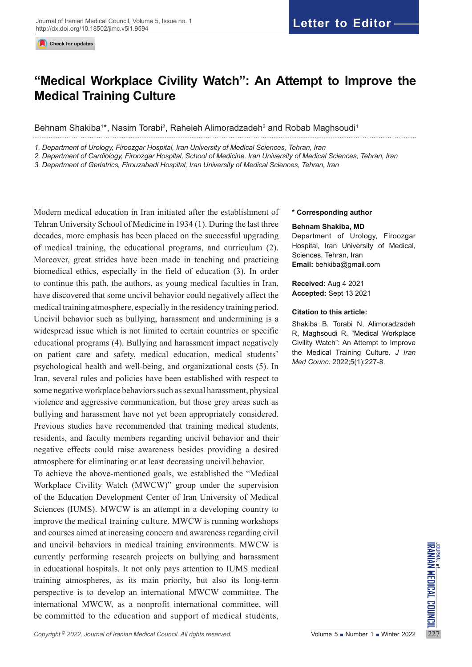# **"Medical Workplace Civility Watch": An Attempt to Improve the Medical Training Culture**

Behnam Shakiba1\*, Nasim Torabi<sup>2</sup>, Raheleh Alimoradzadeh<sup>3</sup> and Robab Maghsoudi<sup>1</sup>

*1. Department of Urology, Firoozgar Hospital, Iran University of Medical Sciences, Tehran, Iran*

*2. Department of Cardiology, Firoozgar Hospital, School of Medicine, Iran University of Medical Sciences, Tehran, Iran*

*3. Department of Geriatrics, Firouzabadi Hospital, Iran University of Medical Sciences, Tehran, Iran*

Modern medical education in Iran initiated after the establishment of Tehran University School of Medicine in 1934 (1). During the last three decades, more emphasis has been placed on the successful upgrading of medical training, the educational programs, and curriculum (2). Moreover, great strides have been made in teaching and practicing biomedical ethics, especially in the field of education (3). In order to continue this path, the authors, as young medical faculties in Iran, have discovered that some uncivil behavior could negatively affect the medical training atmosphere, especially in the residency training period. Uncivil behavior such as bullying, harassment and undermining is a widespread issue which is not limited to certain countries or specific educational programs (4). Bullying and harassment impact negatively on patient care and safety, medical education, medical students' psychological health and well-being, and organizational costs (5). In Iran, several rules and policies have been established with respect to some negative workplace behaviors such as sexual harassment, physical violence and aggressive communication, but those grey areas such as bullying and harassment have not yet been appropriately considered. Previous studies have recommended that training medical students, residents, and faculty members regarding uncivil behavior and their negative effects could raise awareness besides providing a desired atmosphere for eliminating or at least decreasing uncivil behavior.

and uncivil behaviors in medical training environments. MWCW is<br>
currently performing research projects on bullying and harassment<br>
in educational hospitals. It not only pays attention to IUMS medical<br>
training atmospheres To achieve the above-mentioned goals, we established the "Medical Workplace Civility Watch (MWCW)" group under the supervision of the Education Development Center of Iran University of Medical Sciences (IUMS). MWCW is an attempt in a developing country to improve the medical training culture. MWCW is running workshops and courses aimed at increasing concern and awareness regarding civil and uncivil behaviors in medical training environments. MWCW is currently performing research projects on bullying and harassment in educational hospitals. It not only pays attention to IUMS medical training atmospheres, as its main priority, but also its long-term perspective is to develop an international MWCW committee. The international MWCW, as a nonprofit international committee, will be committed to the education and support of medical students,

#### **\* Corresponding author**

### **Behnam Shakiba, MD**

Department of Urology, Firoozgar Hospital, Iran University of Medical, Sciences, Tehran, Iran **Email:** behkiba@gmail.com

**Received:** Aug 4 2021 **Accepted:** Sept 13 2021

### **Citation to this article:**

Shakiba B, Torabi N, Alimoradzadeh R, Maghsoudi R. "Medical Workplace Civility Watch": An Attempt to Improve the Medical Training Culture. *J Iran Med Counc*. 2022;5(1):227-8.